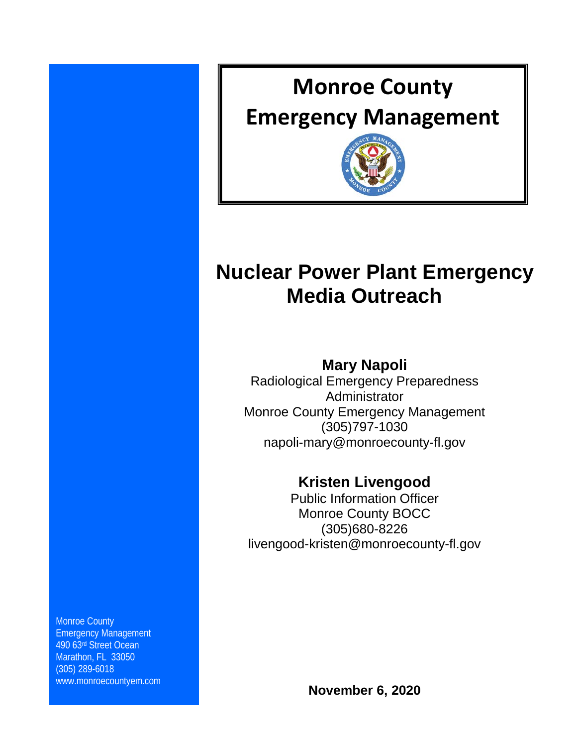

# **Nuclear Power Plant Emergency Media Outreach**

# **Mary Napoli**

Radiological Emergency Preparedness Administrator Monroe County Emergency Management (305)797-1030 napoli-mary@monroecounty-fl.gov

# **Kristen Livengood**

Public Information Officer Monroe County BOCC (305)680-8226 livengood-kristen@monroecounty-fl.gov

Monroe County Emergency Management 490 63rd Street Ocean Marathon, FL 33050 (305) 289-6018 www.monroecountyem.com

**November 6, 2020**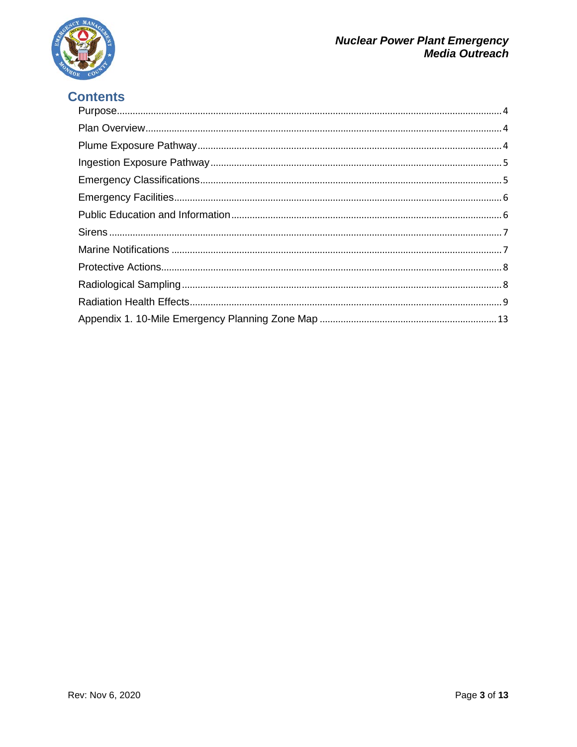

# **Contents**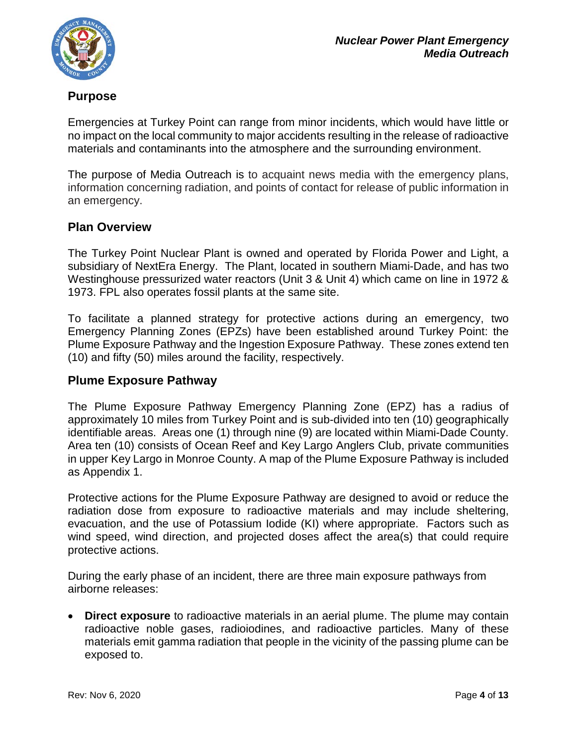

# <span id="page-3-0"></span>**Purpose**

Emergencies at Turkey Point can range from minor incidents, which would have little or no impact on the local community to major accidents resulting in the release of radioactive materials and contaminants into the atmosphere and the surrounding environment.

The purpose of Media Outreach is to acquaint news media with the emergency plans, information concerning radiation, and points of contact for release of public information in an emergency.

# <span id="page-3-1"></span>**Plan Overview**

The Turkey Point Nuclear Plant is owned and operated by Florida Power and Light, a subsidiary of NextEra Energy. The Plant, located in southern Miami-Dade, and has two Westinghouse pressurized water reactors (Unit 3 & Unit 4) which came on line in 1972 & 1973. FPL also operates fossil plants at the same site.

To facilitate a planned strategy for protective actions during an emergency, two Emergency Planning Zones (EPZs) have been established around Turkey Point: the Plume Exposure Pathway and the Ingestion Exposure Pathway. These zones extend ten (10) and fifty (50) miles around the facility, respectively.

# <span id="page-3-2"></span>**Plume Exposure Pathway**

The Plume Exposure Pathway Emergency Planning Zone (EPZ) has a radius of approximately 10 miles from Turkey Point and is sub-divided into ten (10) geographically identifiable areas. Areas one (1) through nine (9) are located within Miami-Dade County. Area ten (10) consists of Ocean Reef and Key Largo Anglers Club, private communities in upper Key Largo in Monroe County. A map of the Plume Exposure Pathway is included as Appendix 1.

Protective actions for the Plume Exposure Pathway are designed to avoid or reduce the radiation dose from exposure to radioactive materials and may include sheltering, evacuation, and the use of Potassium Iodide (KI) where appropriate. Factors such as wind speed, wind direction, and projected doses affect the area(s) that could require protective actions.

During the early phase of an incident, there are three main exposure pathways from airborne releases:

• **Direct exposure** to radioactive materials in an aerial plume. The plume may contain radioactive noble gases, radioiodines, and radioactive particles. Many of these materials emit gamma radiation that people in the vicinity of the passing plume can be exposed to.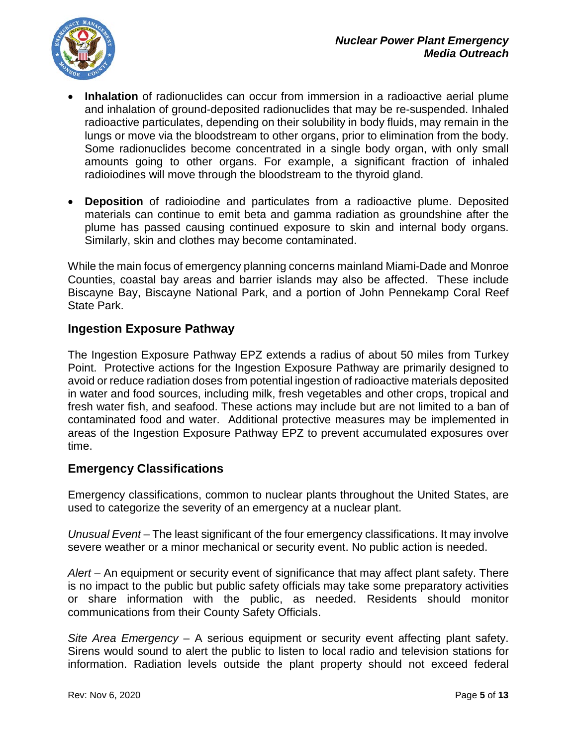

- **Inhalation** of radionuclides can occur from immersion in a radioactive aerial plume and inhalation of ground-deposited radionuclides that may be re-suspended. Inhaled radioactive particulates, depending on their solubility in body fluids, may remain in the lungs or move via the bloodstream to other organs, prior to elimination from the body. Some radionuclides become concentrated in a single body organ, with only small amounts going to other organs. For example, a significant fraction of inhaled radioiodines will move through the bloodstream to the thyroid gland.
- **Deposition** of radioiodine and particulates from a radioactive plume. Deposited materials can continue to emit beta and gamma radiation as groundshine after the plume has passed causing continued exposure to skin and internal body organs. Similarly, skin and clothes may become contaminated.

While the main focus of emergency planning concerns mainland Miami-Dade and Monroe Counties, coastal bay areas and barrier islands may also be affected. These include Biscayne Bay, Biscayne National Park, and a portion of John Pennekamp Coral Reef State Park.

# <span id="page-4-0"></span>**Ingestion Exposure Pathway**

The Ingestion Exposure Pathway EPZ extends a radius of about 50 miles from Turkey Point. Protective actions for the Ingestion Exposure Pathway are primarily designed to avoid or reduce radiation doses from potential ingestion of radioactive materials deposited in water and food sources, including milk, fresh vegetables and other crops, tropical and fresh water fish, and seafood. These actions may include but are not limited to a ban of contaminated food and water. Additional protective measures may be implemented in areas of the Ingestion Exposure Pathway EPZ to prevent accumulated exposures over time.

# <span id="page-4-1"></span>**Emergency Classifications**

Emergency classifications, common to nuclear plants throughout the United States, are used to categorize the severity of an emergency at a nuclear plant.

*Unusual Event* – The least significant of the four emergency classifications. It may involve severe weather or a minor mechanical or security event. No public action is needed.

*Alert* – An equipment or security event of significance that may affect plant safety. There is no impact to the public but public safety officials may take some preparatory activities or share information with the public, as needed. Residents should monitor communications from their County Safety Officials.

*Site Area Emergency* – A serious equipment or security event affecting plant safety. Sirens would sound to alert the public to listen to local radio and television stations for information. Radiation levels outside the plant property should not exceed federal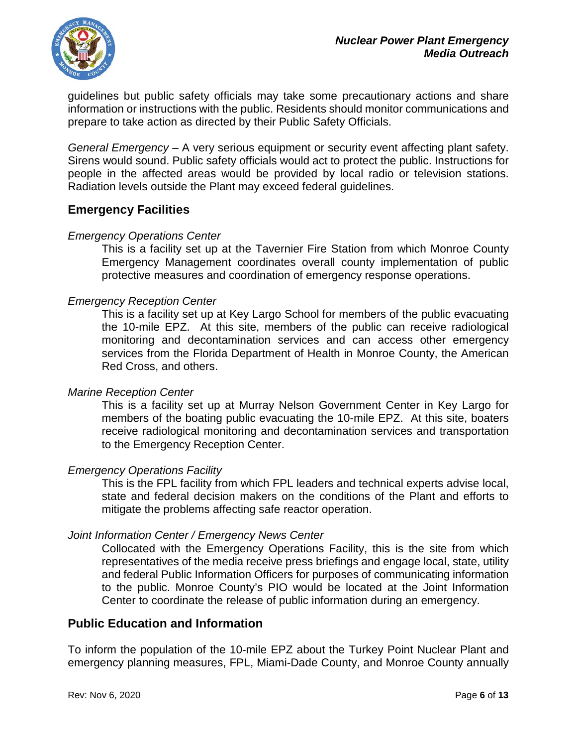guidelines but public safety officials may take some precautionary actions and share information or instructions with the public. Residents should monitor communications and prepare to take action as directed by their Public Safety Officials.

*General Emergency* – A very serious equipment or security event affecting plant safety. Sirens would sound. Public safety officials would act to protect the public. Instructions for people in the affected areas would be provided by local radio or television stations. Radiation levels outside the Plant may exceed federal guidelines.

# <span id="page-5-0"></span>**Emergency Facilities**

#### *Emergency Operations Center*

This is a facility set up at the Tavernier Fire Station from which Monroe County Emergency Management coordinates overall county implementation of public protective measures and coordination of emergency response operations.

#### *Emergency Reception Center*

This is a facility set up at Key Largo School for members of the public evacuating the 10-mile EPZ. At this site, members of the public can receive radiological monitoring and decontamination services and can access other emergency services from the Florida Department of Health in Monroe County, the American Red Cross, and others.

#### *Marine Reception Center*

This is a facility set up at Murray Nelson Government Center in Key Largo for members of the boating public evacuating the 10-mile EPZ. At this site, boaters receive radiological monitoring and decontamination services and transportation to the Emergency Reception Center.

#### *Emergency Operations Facility*

This is the FPL facility from which FPL leaders and technical experts advise local, state and federal decision makers on the conditions of the Plant and efforts to mitigate the problems affecting safe reactor operation.

#### *Joint Information Center / Emergency News Center*

Collocated with the Emergency Operations Facility, this is the site from which representatives of the media receive press briefings and engage local, state, utility and federal Public Information Officers for purposes of communicating information to the public. Monroe County's PIO would be located at the Joint Information Center to coordinate the release of public information during an emergency.

### <span id="page-5-1"></span>**Public Education and Information**

To inform the population of the 10-mile EPZ about the Turkey Point Nuclear Plant and emergency planning measures, FPL, Miami-Dade County, and Monroe County annually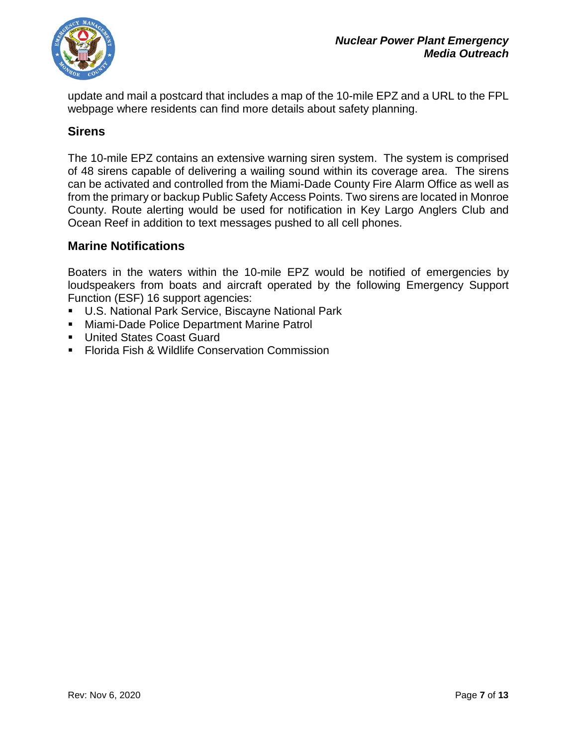

update and mail a postcard that includes a map of the 10-mile EPZ and a URL to the FPL webpage where residents can find more details about safety planning.

## <span id="page-6-0"></span>**Sirens**

The 10-mile EPZ contains an extensive warning siren system. The system is comprised of 48 sirens capable of delivering a wailing sound within its coverage area. The sirens can be activated and controlled from the Miami-Dade County Fire Alarm Office as well as from the primary or backup Public Safety Access Points. Two sirens are located in Monroe County. Route alerting would be used for notification in Key Largo Anglers Club and Ocean Reef in addition to text messages pushed to all cell phones.

### <span id="page-6-1"></span>**Marine Notifications**

Boaters in the waters within the 10-mile EPZ would be notified of emergencies by loudspeakers from boats and aircraft operated by the following Emergency Support Function (ESF) 16 support agencies:

- U.S. National Park Service, Biscayne National Park
- **Miami-Dade Police Department Marine Patrol**
- **United States Coast Guard**
- **Florida Fish & Wildlife Conservation Commission**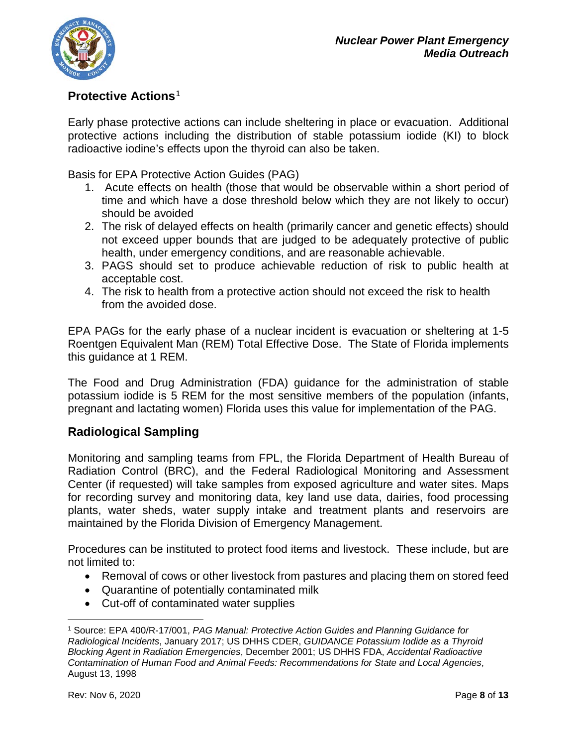

# <span id="page-7-0"></span>**Protective Actions**[1](#page-7-2)

Early phase protective actions can include sheltering in place or evacuation. Additional protective actions including the distribution of stable potassium iodide (KI) to block radioactive iodine's effects upon the thyroid can also be taken.

Basis for EPA Protective Action Guides (PAG)

- 1. Acute effects on health (those that would be observable within a short period of time and which have a dose threshold below which they are not likely to occur) should be avoided
- 2. The risk of delayed effects on health (primarily cancer and genetic effects) should not exceed upper bounds that are judged to be adequately protective of public health, under emergency conditions, and are reasonable achievable.
- 3. PAGS should set to produce achievable reduction of risk to public health at acceptable cost.
- 4. The risk to health from a protective action should not exceed the risk to health from the avoided dose.

EPA PAGs for the early phase of a nuclear incident is evacuation or sheltering at 1-5 Roentgen Equivalent Man (REM) Total Effective Dose. The State of Florida implements this guidance at 1 REM.

The Food and Drug Administration (FDA) guidance for the administration of stable potassium iodide is 5 REM for the most sensitive members of the population (infants, pregnant and lactating women) Florida uses this value for implementation of the PAG.

# <span id="page-7-1"></span>**Radiological Sampling**

Monitoring and sampling teams from FPL, the Florida Department of Health Bureau of Radiation Control (BRC), and the Federal Radiological Monitoring and Assessment Center (if requested) will take samples from exposed agriculture and water sites. Maps for recording survey and monitoring data, key land use data, dairies, food processing plants, water sheds, water supply intake and treatment plants and reservoirs are maintained by the Florida Division of Emergency Management.

Procedures can be instituted to protect food items and livestock. These include, but are not limited to:

- Removal of cows or other livestock from pastures and placing them on stored feed
- Quarantine of potentially contaminated milk
- Cut-off of contaminated water supplies

 $\overline{\phantom{a}}$ 

<span id="page-7-2"></span><sup>1</sup> Source: EPA 400/R-17/001, *PAG Manual: Protective Action Guides and Planning Guidance for Radiological Incidents*, January 2017; US DHHS CDER, *GUIDANCE Potassium Iodide as a Thyroid Blocking Agent in Radiation Emergencies*, December 2001; US DHHS FDA, *Accidental Radioactive Contamination of Human Food and Animal Feeds: Recommendations for State and Local Agencies*, August 13, 1998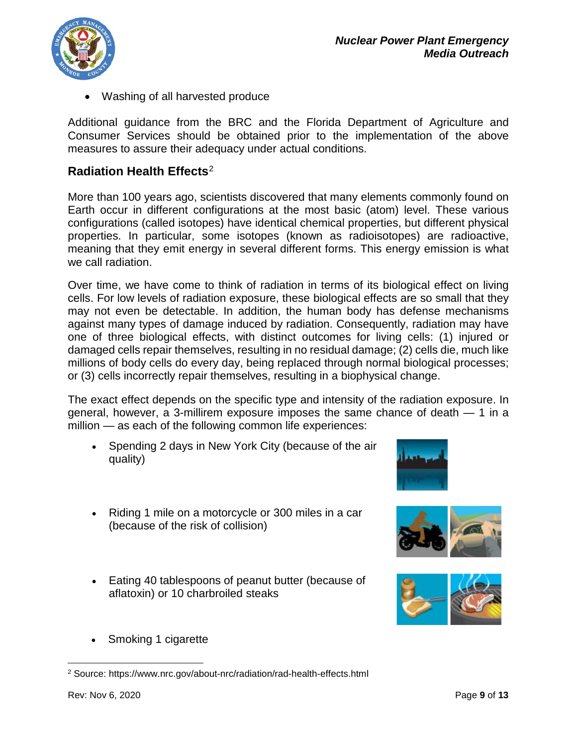

• Washing of all harvested produce

Additional guidance from the BRC and the Florida Department of Agriculture and Consumer Services should be obtained prior to the implementation of the above measures to assure their adequacy under actual conditions.

# <span id="page-8-0"></span>**Radiation Health Effects**[2](#page-8-1)

More than 100 years ago, scientists discovered that many elements commonly found on Earth occur in different configurations at the most basic (atom) level. These various configurations (called isotopes) have identical chemical properties, but different physical properties. In particular, some isotopes (known as radioisotopes) are radioactive, meaning that they emit energy in several different forms. This energy emission is what we call radiation.

Over time, we have come to think of radiation in terms of its biological effect on living cells. For low levels of radiation exposure, these biological effects are so small that they may not even be detectable. In addition, the human body has defense mechanisms against many types of damage induced by radiation. Consequently, radiation may have one of three biological effects, with distinct outcomes for living cells: (1) injured or damaged cells repair themselves, resulting in no residual damage; (2) cells die, much like millions of body cells do every day, being replaced through normal biological processes; or (3) cells incorrectly repair themselves, resulting in a biophysical change.

The exact effect depends on the specific type and intensity of the radiation exposure. In general, however, a 3-millirem exposure imposes the same chance of death — 1 in a million — as each of the following common life experiences:

- Spending 2 days in New York City (because of the air quality)
- Riding 1 mile on a motorcycle or 300 miles in a car (because of the risk of collision)
- Eating 40 tablespoons of peanut butter (because of aflatoxin) or 10 charbroiled steaks
- Smoking 1 cigarette

l



<span id="page-8-1"></span><sup>2</sup> Source: https://www.nrc.gov/about-nrc/radiation/rad-health-effects.html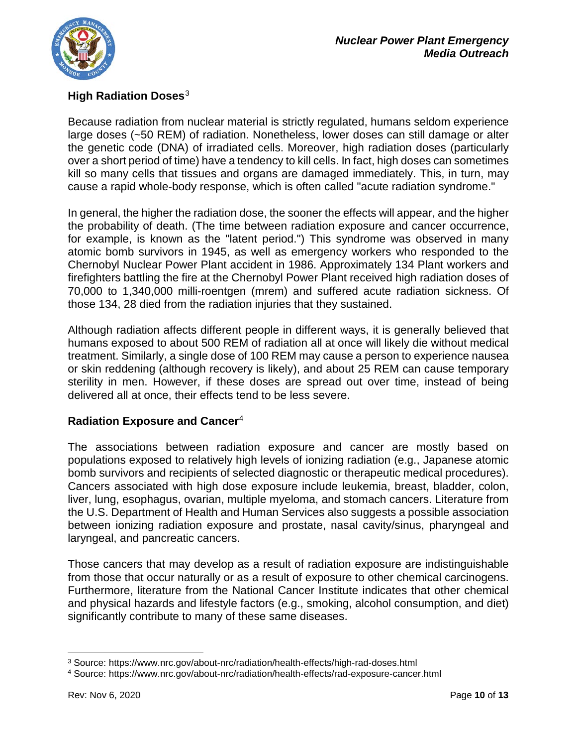

# **High Radiation Doses**[3](#page-9-0)

Because radiation from nuclear material is strictly regulated, humans seldom experience large doses (~50 REM) of radiation. Nonetheless, lower doses can still damage or alter the genetic code (DNA) of irradiated cells. Moreover, high radiation doses (particularly over a short period of time) have a tendency to kill cells. In fact, high doses can sometimes kill so many cells that tissues and organs are damaged immediately. This, in turn, may cause a rapid whole-body response, which is often called "acute radiation syndrome."

In general, the higher the radiation dose, the sooner the effects will appear, and the higher the probability of death. (The time between radiation exposure and cancer occurrence, for example, is known as the "latent period.") This syndrome was observed in many atomic bomb survivors in 1945, as well as emergency workers who responded to the Chernobyl Nuclear Power Plant accident in 1986. Approximately 134 Plant workers and firefighters battling the fire at the Chernobyl Power Plant received high radiation doses of 70,000 to 1,340,000 milli-roentgen (mrem) and suffered acute radiation sickness. Of those 134, 28 died from the radiation injuries that they sustained.

Although radiation affects different people in different ways, it is generally believed that humans exposed to about 500 REM of radiation all at once will likely die without medical treatment. Similarly, a single dose of 100 REM may cause a person to experience nausea or skin reddening (although recovery is likely), and about 25 REM can cause temporary sterility in men. However, if these doses are spread out over time, instead of being delivered all at once, their effects tend to be less severe.

# **Radiation Exposure and Cancer**[4](#page-9-1)

The associations between radiation exposure and cancer are mostly based on populations exposed to relatively high levels of ionizing radiation (e.g., Japanese atomic bomb survivors and recipients of selected diagnostic or therapeutic medical procedures). Cancers associated with high dose exposure include leukemia, breast, bladder, colon, liver, lung, esophagus, ovarian, multiple myeloma, and stomach cancers. Literature from the U.S. Department of Health and Human Services also suggests a possible association between ionizing radiation exposure and prostate, nasal cavity/sinus, pharyngeal and laryngeal, and pancreatic cancers.

Those cancers that may develop as a result of radiation exposure are indistinguishable from those that occur naturally or as a result of exposure to other chemical carcinogens. Furthermore, literature from the National Cancer Institute indicates that other chemical and physical hazards and lifestyle factors (e.g., smoking, alcohol consumption, and diet) significantly contribute to many of these same diseases.

l

<span id="page-9-0"></span><sup>3</sup> Source: https://www.nrc.gov/about-nrc/radiation/health-effects/high-rad-doses.html

<span id="page-9-1"></span><sup>4</sup> Source: https://www.nrc.gov/about-nrc/radiation/health-effects/rad-exposure-cancer.html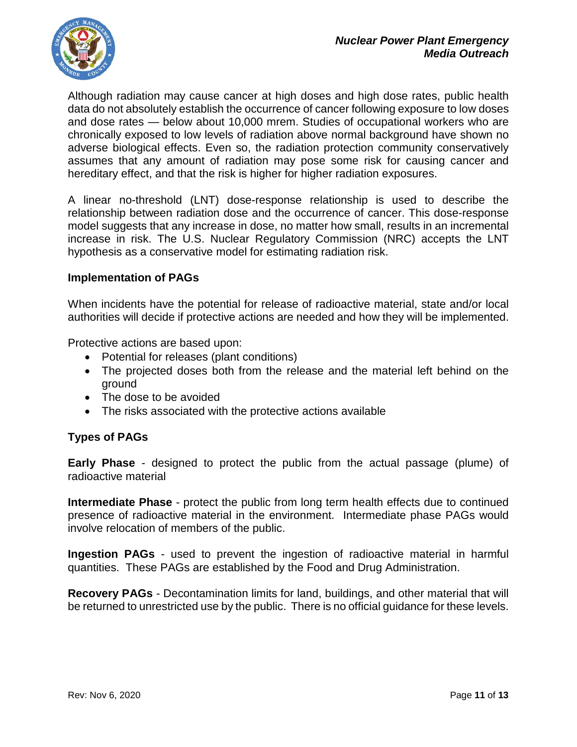

Although radiation may cause cancer at high doses and high dose rates, public health data do not absolutely establish the occurrence of cancer following exposure to low doses and dose rates — below about 10,000 mrem. Studies of occupational workers who are chronically exposed to low levels of radiation above normal background have shown no adverse biological effects. Even so, the radiation protection community conservatively assumes that any amount of radiation may pose some risk for causing cancer and hereditary effect, and that the risk is higher for higher radiation exposures.

A linear no-threshold (LNT) dose-response relationship is used to describe the relationship between radiation dose and the occurrence of cancer. This dose-response model suggests that any increase in dose, no matter how small, results in an incremental increase in risk. The U.S. Nuclear Regulatory Commission (NRC) accepts the LNT hypothesis as a conservative model for estimating radiation risk.

### **Implementation of PAGs**

When incidents have the potential for release of radioactive material, state and/or local authorities will decide if protective actions are needed and how they will be implemented.

Protective actions are based upon:

- Potential for releases (plant conditions)
- The projected doses both from the release and the material left behind on the ground
- The dose to be avoided
- The risks associated with the protective actions available

#### **Types of PAGs**

**Early Phase** - designed to protect the public from the actual passage (plume) of radioactive material

**Intermediate Phase** - protect the public from long term health effects due to continued presence of radioactive material in the environment. Intermediate phase PAGs would involve relocation of members of the public.

**Ingestion PAGs** - used to prevent the ingestion of radioactive material in harmful quantities. These PAGs are established by the Food and Drug Administration.

**Recovery PAGs** - Decontamination limits for land, buildings, and other material that will be returned to unrestricted use by the public. There is no official guidance for these levels.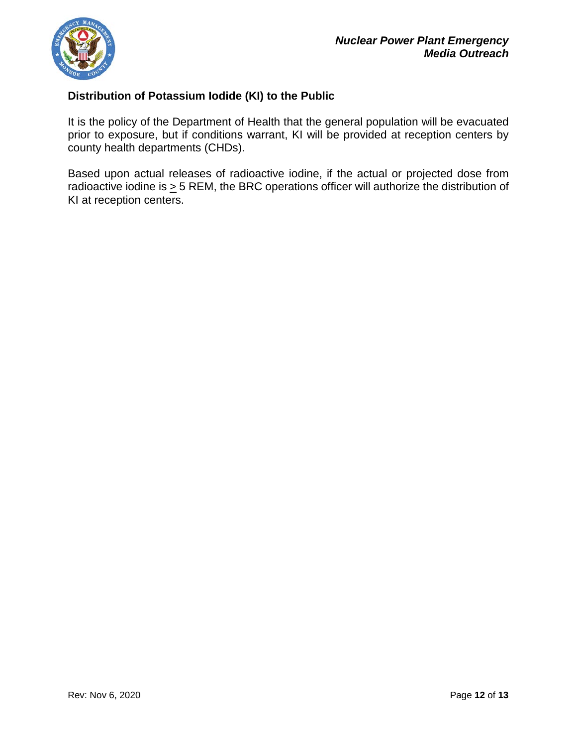

# **Distribution of Potassium Iodide (KI) to the Public**

It is the policy of the Department of Health that the general population will be evacuated prior to exposure, but if conditions warrant, KI will be provided at reception centers by county health departments (CHDs).

Based upon actual releases of radioactive iodine, if the actual or projected dose from radioactive iodine is  $\geq$  5 REM, the BRC operations officer will authorize the distribution of KI at reception centers.